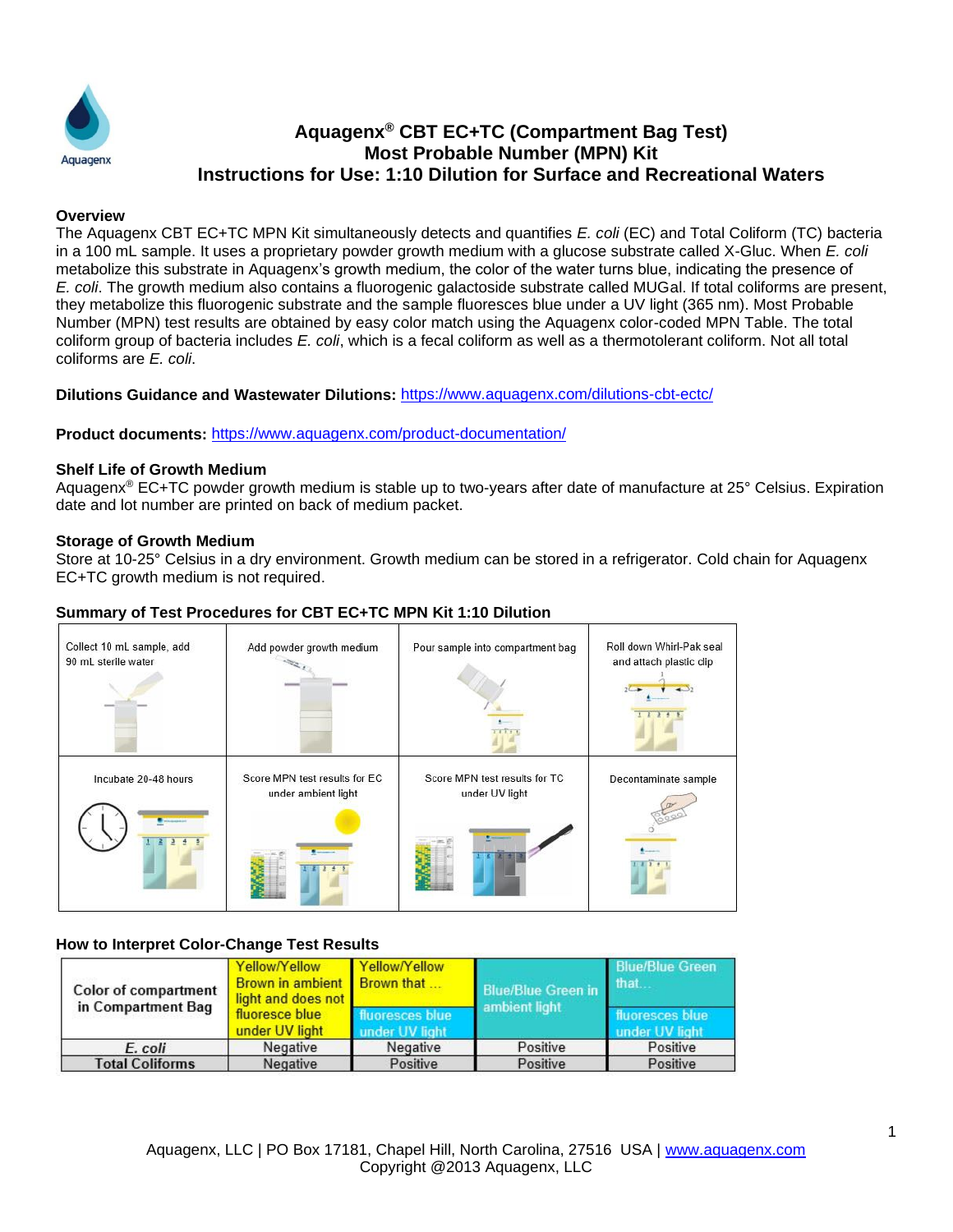

# **Aquagenx® CBT EC+TC (Compartment Bag Test) Most Probable Number (MPN) Kit Instructions for Use: 1:10 Dilution for Surface and Recreational Waters**

#### **Overview**

The Aquagenx CBT EC+TC MPN Kit simultaneously detects and quantifies *E. coli* (EC) and Total Coliform (TC) bacteria in a 100 mL sample. It uses a proprietary powder growth medium with a glucose substrate called X-Gluc. When *E. coli* metabolize this substrate in Aquagenx's growth medium, the color of the water turns blue, indicating the presence of *E. coli*. The growth medium also contains a fluorogenic galactoside substrate called MUGal. If total coliforms are present, they metabolize this fluorogenic substrate and the sample fluoresces blue under a UV light (365 nm). Most Probable Number (MPN) test results are obtained by easy color match using the Aquagenx color-coded MPN Table. The total coliform group of bacteria includes *E. coli*, which is a fecal coliform as well as a thermotolerant coliform. Not all total coliforms are *E. coli*.

#### **Dilutions Guidance and Wastewater Dilutions:** <https://www.aquagenx.com/dilutions-cbt-ectc/>

**Product documents:** <https://www.aquagenx.com/product-documentation/>

#### **Shelf Life of Growth Medium**

Aquagenx® EC+TC powder growth medium is stable up to two-years after date of manufacture at 25° Celsius. Expiration date and lot number are printed on back of medium packet.

#### **Storage of Growth Medium**

Store at 10-25° Celsius in a dry environment. Growth medium can be stored in a refrigerator. Cold chain for Aquagenx EC+TC growth medium is not required.

### **Summary of Test Procedures for CBT EC+TC MPN Kit 1:10 Dilution**

| Collect 10 mL sample, add<br>90 mL sterile water  | Add powder growth medium                             | Pour sample into compartment bag                | Roll down Whirl-Pak seal<br>and attach plastic clip |
|---------------------------------------------------|------------------------------------------------------|-------------------------------------------------|-----------------------------------------------------|
| Incubate 20-48 hours<br><b><i>Designation</i></b> | Score MPN test results for EC<br>under ambient light | Score MPN test results for TC<br>under UV light | Decontaminate sample                                |
|                                                   |                                                      |                                                 |                                                     |

### **How to Interpret Color-Change Test Results**

| Color of compartment<br>in Compartment Bag | Yellow/Yellow<br><b>Brown in ambient</b><br>light and does not | Yellow/Yellow<br>Brown that                        | <b>Blue/Blue Green in</b> | <b>Blue/Blue Green</b><br>that    |
|--------------------------------------------|----------------------------------------------------------------|----------------------------------------------------|---------------------------|-----------------------------------|
|                                            | fluoresce blue<br>under UV light                               | ambient light<br>fluoresces blue<br>under UV light |                           | fluoresces blue<br>under UV light |
| E. coli                                    | Negative                                                       | Negative                                           | Positive                  | Positive                          |
| <b>Total Coliforms</b>                     | Negative                                                       | Positive                                           | Positive                  | Positive                          |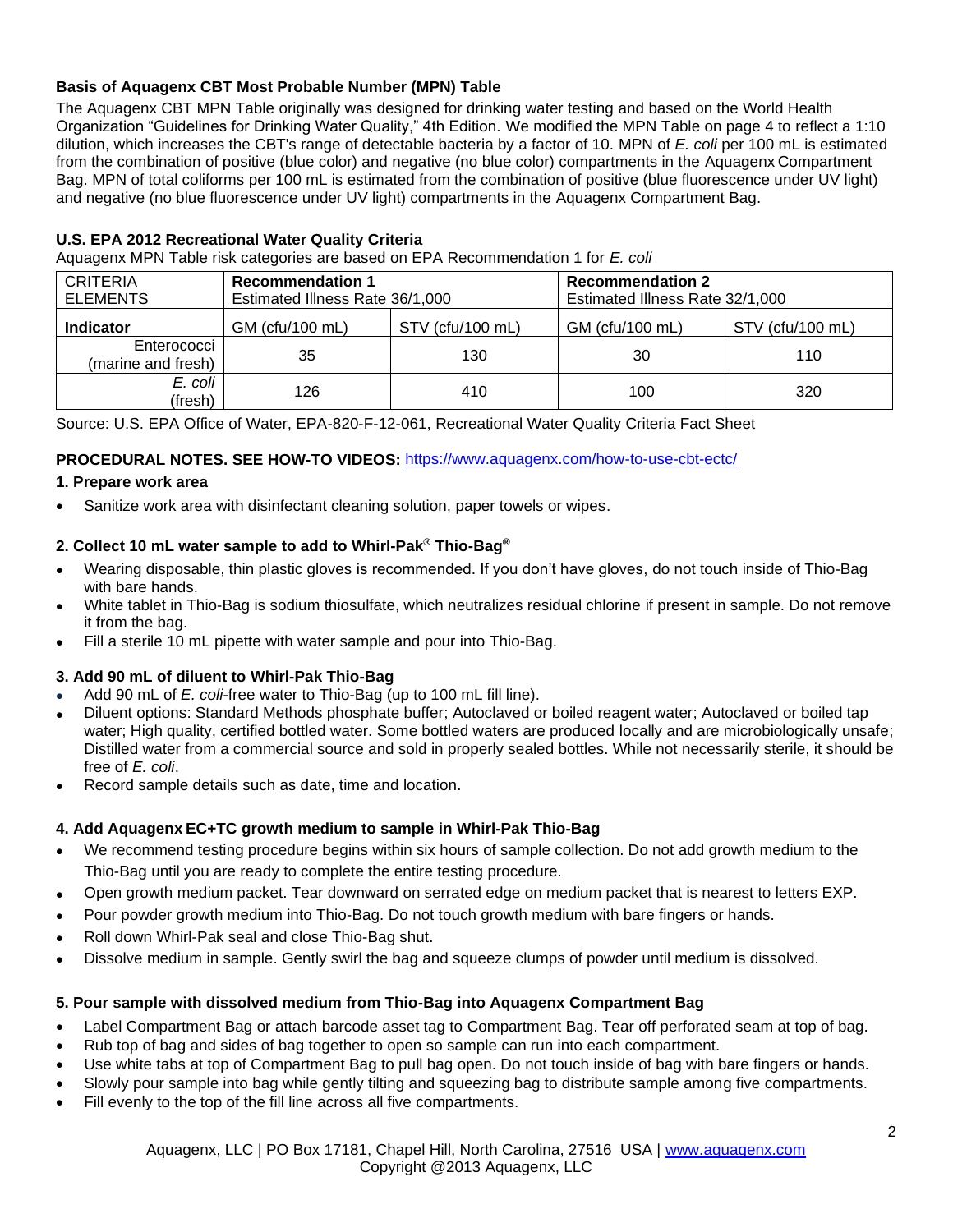# **Basis of Aquagenx CBT Most Probable Number (MPN) Table**

The Aquagenx CBT MPN Table originally was designed for drinking water testing and based on the World Health Organization "Guidelines for Drinking Water Quality," 4th Edition. We modified the MPN Table on page 4 to reflect a 1:10 dilution, which increases the CBT's range of detectable bacteria by a factor of 10. MPN of *E. coli* per 100 mL is estimated from the combination of positive (blue color) and negative (no blue color) compartments in the Aquagenx Compartment Bag. MPN of total coliforms per 100 mL is estimated from the combination of positive (blue fluorescence under UV light) and negative (no blue fluorescence under UV light) compartments in the Aquagenx Compartment Bag.

### **U.S. EPA 2012 Recreational Water Quality Criteria**

Aquagenx MPN Table risk categories are based on EPA Recommendation 1 for *E. coli*

| <b>CRITERIA</b><br><b>ELEMENTS</b> | <b>Recommendation 1</b><br>Estimated Illness Rate 36/1,000 |                  | <b>Recommendation 2</b><br>Estimated Illness Rate 32/1,000 |                  |  |
|------------------------------------|------------------------------------------------------------|------------------|------------------------------------------------------------|------------------|--|
| <b>Indicator</b>                   | GM (cfu/100 mL)                                            | STV (cfu/100 mL) | GM (cfu/100 mL)                                            | STV (cfu/100 mL) |  |
| Enterococci<br>(marine and fresh)  | 35                                                         | 130              | 30                                                         | 110              |  |
| E. coli<br>(fresh)                 | 126                                                        | 410              | 100                                                        | 320              |  |

Source: U.S. EPA Office of Water, EPA-820-F-12-061, Recreational Water Quality Criteria Fact Sheet

### **PROCEDURAL NOTES. SEE HOW-TO VIDEOS:** <https://www.aquagenx.com/how-to-use-cbt-ectc/>

### **1. Prepare work area**

Sanitize work area with disinfectant cleaning solution, paper towels or wipes.

### **2. Collect 10 mL water sample to add to Whirl-Pak® Thio-Bag®**

- Wearing disposable, thin plastic gloves is recommended. If you don't have gloves, do not touch inside of Thio-Bag with bare hands.
- White tablet in Thio-Bag is sodium thiosulfate, which neutralizes residual chlorine if present in sample. Do not remove it from the bag.
- Fill a sterile 10 mL pipette with water sample and pour into Thio-Bag.

# **3. Add 90 mL of diluent to Whirl-Pak Thio-Bag**

- Add 90 mL of *E. coli*-free water to Thio-Bag (up to 100 mL fill line).
- Diluent options: Standard Methods phosphate buffer; Autoclaved or boiled reagent water; Autoclaved or boiled tap water; High quality, certified bottled water. Some bottled waters are produced locally and are microbiologically unsafe; Distilled water from a commercial source and sold in properly sealed bottles. While not necessarily sterile, it should be free of *E. coli*.
- Record sample details such as date, time and location.

# **4. Add Aquagenx EC+TC growth medium to sample in Whirl-Pak Thio-Bag**

- We recommend testing procedure begins within six hours of sample collection. Do not add growth medium to the Thio-Bag until you are ready to complete the entire testing procedure.
- Open growth medium packet. Tear downward on serrated edge on medium packet that is nearest to letters EXP.
- Pour powder growth medium into Thio-Bag. Do not touch growth medium with bare fingers or hands.
- Roll down Whirl-Pak seal and close Thio-Bag shut.
- Dissolve medium in sample. Gently swirl the bag and squeeze clumps of powder until medium is dissolved.

### **5. Pour sample with dissolved medium from Thio-Bag into Aquagenx Compartment Bag**

- Label Compartment Bag or attach barcode asset tag to Compartment Bag. Tear off perforated seam at top of bag.
- Rub top of bag and sides of bag together to open so sample can run into each compartment.
- Use white tabs at top of Compartment Bag to pull bag open. Do not touch inside of bag with bare fingers or hands.
- Slowly pour sample into bag while gently tilting and squeezing bag to distribute sample among five compartments.
- Fill evenly to the top of the fill line across all five compartments.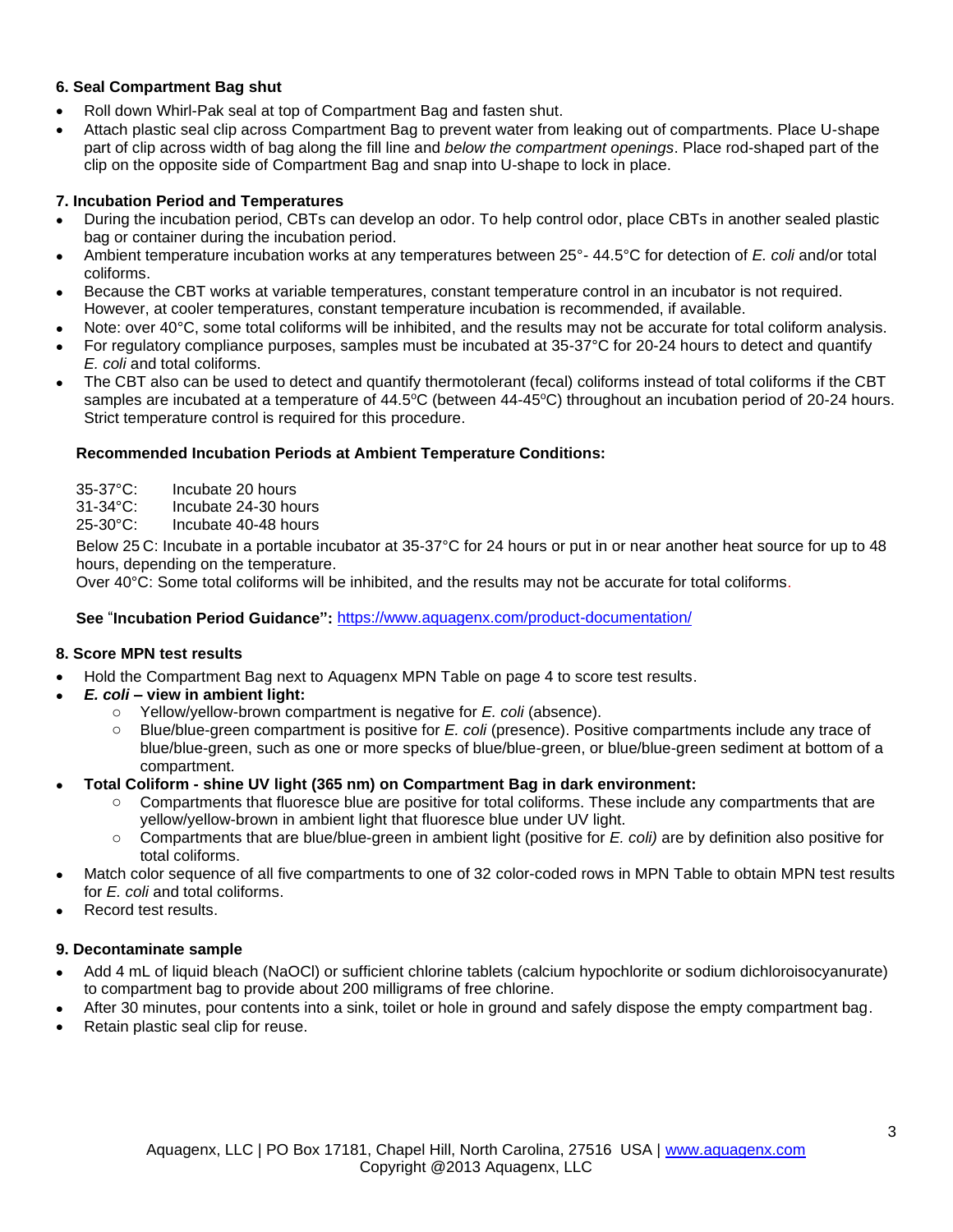### **6. Seal Compartment Bag shut**

- Roll down Whirl-Pak seal at top of Compartment Bag and fasten shut.
- Attach plastic seal clip across Compartment Bag to prevent water from leaking out of compartments. Place U-shape part of clip across width of bag along the fill line and *below the compartment openings*. Place rod-shaped part of the clip on the opposite side of Compartment Bag and snap into U-shape to lock in place.

### **7. Incubation Period and Temperatures**

- During the incubation period, CBTs can develop an odor. To help control odor, place CBTs in another sealed plastic bag or container during the incubation period.
- Ambient temperature incubation works at any temperatures between 25°- 44.5°C for detection of *E. coli* and/or total coliforms.
- Because the CBT works at variable temperatures, constant temperature control in an incubator is not required. However, at cooler temperatures, constant temperature incubation is recommended, if available.
- Note: over 40°C, some total coliforms will be inhibited, and the results may not be accurate for total coliform analysis.
- For regulatory compliance purposes, samples must be incubated at 35-37°C for 20-24 hours to detect and quantify *E. coli* and total coliforms.
- The CBT also can be used to detect and quantify thermotolerant (fecal) coliforms instead of total coliforms if the CBT samples are incubated at a temperature of 44.5°C (between 44-45°C) throughout an incubation period of 20-24 hours. Strict temperature control is required for this procedure.

### **Recommended Incubation Periods at Ambient Temperature Conditions:**

35-37°C: Incubate 20 hours 31-34°C: Incubate 24-30 hours

25-30°C: Incubate 40-48 hours

Below 25 C: Incubate in a portable incubator at 35-37°C for 24 hours or put in or near another heat source for up to 48 hours, depending on the temperature.

Over 40°C: Some total coliforms will be inhibited, and the results may not be accurate for total coliforms.

**See** "**Incubation Period Guidance":** <https://www.aquagenx.com/product-documentation/>

### **8. Score MPN test results**

- Hold the Compartment Bag next to Aquagenx MPN Table on page 4 to score test results.
- *E. coli* **– view in ambient light:**
	- o Yellow/yellow-brown compartment is negative for *E. coli* (absence).
	- o Blue/blue-green compartment is positive for *E. coli* (presence). Positive compartments include any trace of blue/blue-green, such as one or more specks of blue/blue-green, or blue/blue-green sediment at bottom of a compartment.
- **Total Coliform - shine UV light (365 nm) on Compartment Bag in dark environment:**
	- Compartments that fluoresce blue are positive for total coliforms. These include any compartments that are yellow/yellow-brown in ambient light that fluoresce blue under UV light.
	- o Compartments that are blue/blue-green in ambient light (positive for *E. coli)* are by definition also positive for total coliforms.
- Match color sequence of all five compartments to one of 32 color-coded rows in MPN Table to obtain MPN test results for *E. coli* and total coliforms.
- Record test results.

### **9. Decontaminate sample**

- Add 4 mL of liquid bleach (NaOCl) or sufficient chlorine tablets (calcium hypochlorite or sodium dichloroisocyanurate) to compartment bag to provide about 200 milligrams of free chlorine.
- After 30 minutes, pour contents into a sink, toilet or hole in ground and safely dispose the empty compartment bag.
- Retain plastic seal clip for reuse.